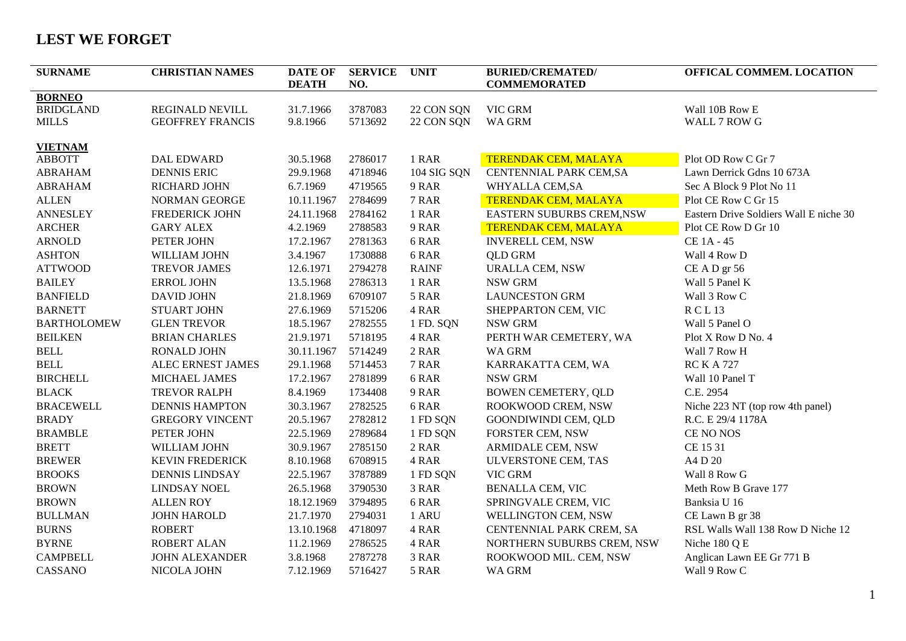## **LEST WE FORGET**

| <b>SURNAME</b>     | <b>CHRISTIAN NAMES</b>  | <b>DATE OF</b><br><b>DEATH</b> | <b>SERVICE</b><br>NO. | <b>UNIT</b>  | <b>BURIED/CREMATED/</b><br><b>COMMEMORATED</b> | OFFICAL COMMEM. LOCATION               |
|--------------------|-------------------------|--------------------------------|-----------------------|--------------|------------------------------------------------|----------------------------------------|
| <b>BORNEO</b>      |                         |                                |                       |              |                                                |                                        |
| <b>BRIDGLAND</b>   | REGINALD NEVILL         | 31.7.1966                      | 3787083               | 22 CON SQN   | VIC GRM                                        | Wall 10B Row E                         |
| <b>MILLS</b>       | <b>GEOFFREY FRANCIS</b> | 9.8.1966                       | 5713692               | 22 CON SQN   | <b>WA GRM</b>                                  | WALL 7 ROW G                           |
| <b>VIETNAM</b>     |                         |                                |                       |              |                                                |                                        |
| <b>ABBOTT</b>      | <b>DAL EDWARD</b>       | 30.5.1968                      | 2786017               | 1 RAR        | <b>TERENDAK CEM, MALAYA</b>                    | Plot OD Row C Gr 7                     |
| <b>ABRAHAM</b>     | <b>DENNIS ERIC</b>      | 29.9.1968                      | 4718946               | 104 SIG SQN  | CENTENNIAL PARK CEM, SA                        | Lawn Derrick Gdns 10 673A              |
| <b>ABRAHAM</b>     | RICHARD JOHN            | 6.7.1969                       | 4719565               | 9 RAR        | WHYALLA CEM, SA                                | Sec A Block 9 Plot No 11               |
| <b>ALLEN</b>       | NORMAN GEORGE           | 10.11.1967                     | 2784699               | 7 RAR        | <b>TERENDAK CEM, MALAYA</b>                    | Plot CE Row C Gr 15                    |
| <b>ANNESLEY</b>    | <b>FREDERICK JOHN</b>   | 24.11.1968                     | 2784162               | 1 RAR        | <b>EASTERN SUBURBS CREM, NSW</b>               | Eastern Drive Soldiers Wall E niche 30 |
| <b>ARCHER</b>      | <b>GARY ALEX</b>        | 4.2.1969                       | 2788583               | 9 RAR        | <b>TERENDAK CEM, MALAYA</b>                    | Plot CE Row D Gr 10                    |
| <b>ARNOLD</b>      | PETER JOHN              | 17.2.1967                      | 2781363               | 6 RAR        | <b>INVERELL CEM, NSW</b>                       | CE 1A - 45                             |
| <b>ASHTON</b>      | WILLIAM JOHN            | 3.4.1967                       | 1730888               | 6 RAR        | <b>QLD GRM</b>                                 | Wall 4 Row D                           |
| <b>ATTWOOD</b>     | <b>TREVOR JAMES</b>     | 12.6.1971                      | 2794278               | <b>RAINF</b> | URALLA CEM, NSW                                | CE A D gr 56                           |
| <b>BAILEY</b>      | <b>ERROL JOHN</b>       | 13.5.1968                      | 2786313               | 1 RAR        | <b>NSW GRM</b>                                 | Wall 5 Panel K                         |
| <b>BANFIELD</b>    | <b>DAVID JOHN</b>       | 21.8.1969                      | 6709107               | 5 RAR        | <b>LAUNCESTON GRM</b>                          | Wall 3 Row C                           |
| <b>BARNETT</b>     | STUART JOHN             | 27.6.1969                      | 5715206               | 4 RAR        | SHEPPARTON CEM, VIC                            | RCL <sub>13</sub>                      |
| <b>BARTHOLOMEW</b> | <b>GLEN TREVOR</b>      | 18.5.1967                      | 2782555               | 1 FD. SQN    | <b>NSW GRM</b>                                 | Wall 5 Panel O                         |
| <b>BEILKEN</b>     | <b>BRIAN CHARLES</b>    | 21.9.1971                      | 5718195               | 4 RAR        | PERTH WAR CEMETERY, WA                         | Plot X Row D No. 4                     |
| <b>BELL</b>        | RONALD JOHN             | 30.11.1967                     | 5714249               | 2 RAR        | WA GRM                                         | Wall 7 Row H                           |
| <b>BELL</b>        | ALEC ERNEST JAMES       | 29.1.1968                      | 5714453               | 7 RAR        | KARRAKATTA CEM, WA                             | <b>RC K A 727</b>                      |
| <b>BIRCHELL</b>    | MICHAEL JAMES           | 17.2.1967                      | 2781899               | 6 RAR        | <b>NSW GRM</b>                                 | Wall 10 Panel T                        |
| <b>BLACK</b>       | <b>TREVOR RALPH</b>     | 8.4.1969                       | 1734408               | 9 RAR        | <b>BOWEN CEMETERY, QLD</b>                     | C.E. 2954                              |
| <b>BRACEWELL</b>   | <b>DENNIS HAMPTON</b>   | 30.3.1967                      | 2782525               | 6 RAR        | ROOKWOOD CREM, NSW                             | Niche 223 NT (top row 4th panel)       |
| <b>BRADY</b>       | <b>GREGORY VINCENT</b>  | 20.5.1967                      | 2782812               | 1 FD SQN     | GOONDIWINDI CEM, QLD                           | R.C. E 29/4 1178A                      |
| <b>BRAMBLE</b>     | PETER JOHN              | 22.5.1969                      | 2789684               | 1 FD SQN     | <b>FORSTER CEM, NSW</b>                        | CE NO NOS                              |
| <b>BRETT</b>       | WILLIAM JOHN            | 30.9.1967                      | 2785150               | 2 RAR        | ARMIDALE CEM, NSW                              | CE 15 31                               |
| <b>BREWER</b>      | <b>KEVIN FREDERICK</b>  | 8.10.1968                      | 6708915               | 4 RAR        | ULVERSTONE CEM, TAS                            | A4 D 20                                |
| <b>BROOKS</b>      | <b>DENNIS LINDSAY</b>   | 22.5.1967                      | 3787889               | 1 FD SQN     | VIC GRM                                        | Wall 8 Row G                           |
| <b>BROWN</b>       | <b>LINDSAY NOEL</b>     | 26.5.1968                      | 3790530               | 3 RAR        | <b>BENALLA CEM, VIC</b>                        | Meth Row B Grave 177                   |
| <b>BROWN</b>       | <b>ALLEN ROY</b>        | 18.12.1969                     | 3794895               | 6 RAR        | SPRINGVALE CREM, VIC                           | Banksia U 16                           |
| <b>BULLMAN</b>     | JOHN HAROLD             | 21.7.1970                      | 2794031               | 1 ARU        | WELLINGTON CEM, NSW                            | CE Lawn B gr 38                        |
| <b>BURNS</b>       | <b>ROBERT</b>           | 13.10.1968                     | 4718097               | 4 RAR        | CENTENNIAL PARK CREM, SA                       | RSL Walls Wall 138 Row D Niche 12      |
| <b>BYRNE</b>       | ROBERT ALAN             | 11.2.1969                      | 2786525               | 4 RAR        | NORTHERN SUBURBS CREM, NSW                     | Niche 180 Q E                          |
| <b>CAMPBELL</b>    | <b>JOHN ALEXANDER</b>   | 3.8.1968                       | 2787278               | 3 RAR        | ROOKWOOD MIL. CEM, NSW                         | Anglican Lawn EE Gr 771 B              |
| CASSANO            | NICOLA JOHN             | 7.12.1969                      | 5716427               | 5 RAR        | WA GRM                                         | Wall 9 Row C                           |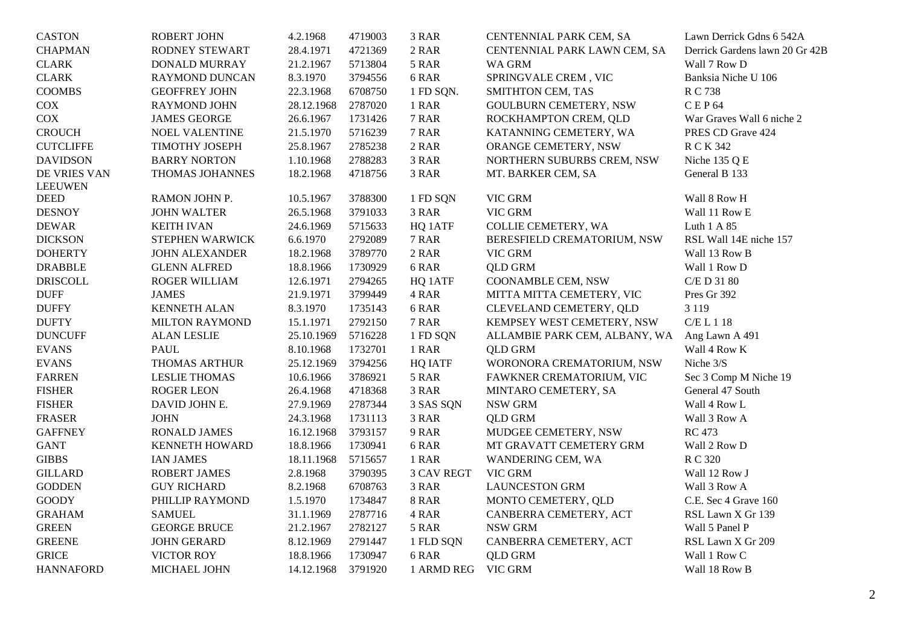| <b>CASTON</b>    | <b>ROBERT JOHN</b>    | 4.2.1968   | 4719003 | 3 RAR              | CENTENNIAL PARK CEM, SA       | Lawn Derrick Gdns 6 542A       |
|------------------|-----------------------|------------|---------|--------------------|-------------------------------|--------------------------------|
| <b>CHAPMAN</b>   | RODNEY STEWART        | 28.4.1971  | 4721369 | 2 RAR              | CENTENNIAL PARK LAWN CEM, SA  | Derrick Gardens lawn 20 Gr 42B |
| <b>CLARK</b>     | <b>DONALD MURRAY</b>  | 21.2.1967  | 5713804 | 5 RAR              | WA GRM                        | Wall 7 Row D                   |
| <b>CLARK</b>     | RAYMOND DUNCAN        | 8.3.1970   | 3794556 | 6 RAR              | SPRINGVALE CREM, VIC          | Banksia Niche U 106            |
| <b>COOMBS</b>    | <b>GEOFFREY JOHN</b>  | 22.3.1968  | 6708750 | 1 FD SQN.          | SMITHTON CEM, TAS             | R C 738                        |
| COX              | RAYMOND JOHN          | 28.12.1968 | 2787020 | 1 RAR              | <b>GOULBURN CEMETERY, NSW</b> | CEP64                          |
| COX              | <b>JAMES GEORGE</b>   | 26.6.1967  | 1731426 | 7 RAR              | ROCKHAMPTON CREM, QLD         | War Graves Wall 6 niche 2      |
| <b>CROUCH</b>    | NOEL VALENTINE        | 21.5.1970  | 5716239 | 7 RAR              | KATANNING CEMETERY, WA        | PRES CD Grave 424              |
| <b>CUTCLIFFE</b> | TIMOTHY JOSEPH        | 25.8.1967  | 2785238 | 2 RAR              | ORANGE CEMETERY, NSW          | R C K 342                      |
| <b>DAVIDSON</b>  | <b>BARRY NORTON</b>   | 1.10.1968  | 2788283 | 3 RAR              | NORTHERN SUBURBS CREM, NSW    | Niche 135 Q E                  |
| DE VRIES VAN     | THOMAS JOHANNES       | 18.2.1968  | 4718756 | 3 RAR              | MT. BARKER CEM, SA            | General B 133                  |
| <b>LEEUWEN</b>   |                       |            |         |                    |                               |                                |
| <b>DEED</b>      | RAMON JOHN P.         | 10.5.1967  | 3788300 | 1 FD SQN           | VIC GRM                       | Wall 8 Row H                   |
| <b>DESNOY</b>    | <b>JOHN WALTER</b>    | 26.5.1968  | 3791033 | 3 RAR              | VIC GRM                       | Wall 11 Row E                  |
| <b>DEWAR</b>     | <b>KEITH IVAN</b>     | 24.6.1969  | 5715633 | HQ 1ATF            | COLLIE CEMETERY, WA           | Luth 1 A 85                    |
| <b>DICKSON</b>   | STEPHEN WARWICK       | 6.6.1970   | 2792089 | 7 RAR              | BERESFIELD CREMATORIUM, NSW   | RSL Wall 14E niche 157         |
| <b>DOHERTY</b>   | <b>JOHN ALEXANDER</b> | 18.2.1968  | 3789770 | 2 RAR              | VIC GRM                       | Wall 13 Row B                  |
| <b>DRABBLE</b>   | <b>GLENN ALFRED</b>   | 18.8.1966  | 1730929 | 6 RAR              | <b>QLD GRM</b>                | Wall 1 Row D                   |
| <b>DRISCOLL</b>  | ROGER WILLIAM         | 12.6.1971  | 2794265 | HQ 1ATF            | COONAMBLE CEM, NSW            | C/E D 31 80                    |
| <b>DUFF</b>      | <b>JAMES</b>          | 21.9.1971  | 3799449 | 4 RAR              | MITTA MITTA CEMETERY, VIC     | Pres Gr 392                    |
| <b>DUFFY</b>     | <b>KENNETH ALAN</b>   | 8.3.1970   | 1735143 | 6 RAR              | CLEVELAND CEMETERY, QLD       | 3 1 1 9                        |
| <b>DUFTY</b>     | <b>MILTON RAYMOND</b> | 15.1.1971  | 2792150 | 7 RAR              | KEMPSEY WEST CEMETERY, NSW    | C/E L 1 18                     |
| <b>DUNCUFF</b>   | <b>ALAN LESLIE</b>    | 25.10.1969 | 5716228 | 1 FD SQN           | ALLAMBIE PARK CEM, ALBANY, WA | Ang Lawn A 491                 |
| <b>EVANS</b>     | PAUL                  | 8.10.1968  | 1732701 | 1 RAR              | <b>QLD GRM</b>                | Wall 4 Row K                   |
| <b>EVANS</b>     | THOMAS ARTHUR         | 25.12.1969 | 3794256 | <b>HQ IATF</b>     | WORONORA CREMATORIUM, NSW     | Niche 3/S                      |
| <b>FARREN</b>    | <b>LESLIE THOMAS</b>  | 10.6.1966  | 3786921 | 5 RAR              | FAWKNER CREMATORIUM, VIC      | Sec 3 Comp M Niche 19          |
| <b>FISHER</b>    | <b>ROGER LEON</b>     | 26.4.1968  | 4718368 | 3 RAR              | MINTARO CEMETERY, SA          | General 47 South               |
| <b>FISHER</b>    | DAVID JOHN E.         | 27.9.1969  | 2787344 | 3 SAS SQN          | NSW GRM                       | Wall 4 Row L                   |
| <b>FRASER</b>    | <b>JOHN</b>           | 24.3.1968  | 1731113 | 3 RAR              | <b>QLD GRM</b>                | Wall 3 Row A                   |
| <b>GAFFNEY</b>   | <b>RONALD JAMES</b>   | 16.12.1968 | 3793157 | 9 RAR              | MUDGEE CEMETERY, NSW          | <b>RC</b> 473                  |
| <b>GANT</b>      | <b>KENNETH HOWARD</b> | 18.8.1966  | 1730941 | 6 RAR              | MT GRAVATT CEMETERY GRM       | Wall 2 Row D                   |
| <b>GIBBS</b>     | <b>IAN JAMES</b>      | 18.11.1968 | 5715657 | 1 RAR              | WANDERING CEM, WA             | R C 320                        |
| <b>GILLARD</b>   | <b>ROBERT JAMES</b>   | 2.8.1968   | 3790395 | <b>3 CAV REGT</b>  | VIC GRM                       | Wall 12 Row J                  |
| <b>GODDEN</b>    | <b>GUY RICHARD</b>    | 8.2.1968   | 6708763 | 3 RAR              | <b>LAUNCESTON GRM</b>         | Wall 3 Row A                   |
| <b>GOODY</b>     | PHILLIP RAYMOND       | 1.5.1970   | 1734847 | <b>8 RAR</b>       | MONTO CEMETERY, QLD           | C.E. Sec 4 Grave 160           |
| <b>GRAHAM</b>    | <b>SAMUEL</b>         | 31.1.1969  | 2787716 | 4 RAR              | CANBERRA CEMETERY, ACT        | RSL Lawn X Gr 139              |
| <b>GREEN</b>     | <b>GEORGE BRUCE</b>   | 21.2.1967  | 2782127 | 5 RAR              | NSW GRM                       | Wall 5 Panel P                 |
| <b>GREENE</b>    | <b>JOHN GERARD</b>    | 8.12.1969  | 2791447 | 1 FLD SQN          | CANBERRA CEMETERY, ACT        | RSL Lawn X Gr 209              |
| <b>GRICE</b>     | <b>VICTOR ROY</b>     | 18.8.1966  | 1730947 | 6 RAR              | <b>QLD GRM</b>                | Wall 1 Row C                   |
| <b>HANNAFORD</b> | MICHAEL JOHN          | 14.12.1968 | 3791920 | 1 ARMD REG VIC GRM |                               | Wall 18 Row B                  |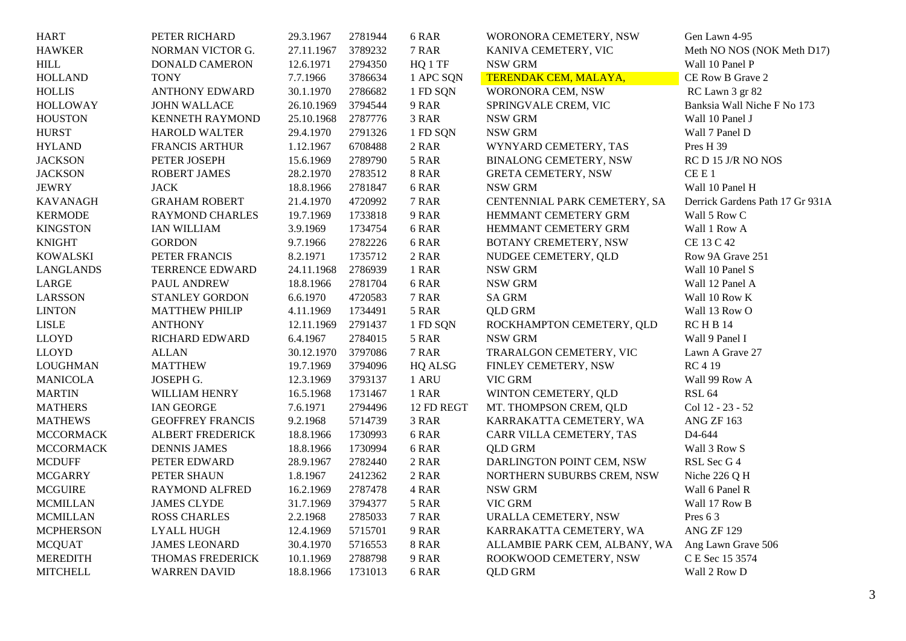| <b>HART</b>      | PETER RICHARD           | 29.3.1967  | 2781944 | 6 RAR        | WORONORA CEMETERY, NSW        | Gen Lawn 4-95                   |
|------------------|-------------------------|------------|---------|--------------|-------------------------------|---------------------------------|
| <b>HAWKER</b>    | NORMAN VICTOR G.        | 27.11.1967 | 3789232 | 7 RAR        | KANIVA CEMETERY, VIC          | Meth NO NOS (NOK Meth D17)      |
| <b>HILL</b>      | <b>DONALD CAMERON</b>   | 12.6.1971  | 2794350 | HQ 1 TF      | <b>NSW GRM</b>                | Wall 10 Panel P                 |
| <b>HOLLAND</b>   | <b>TONY</b>             | 7.7.1966   | 3786634 | 1 APC SQN    | TERENDAK CEM, MALAYA,         | CE Row B Grave 2                |
| <b>HOLLIS</b>    | <b>ANTHONY EDWARD</b>   | 30.1.1970  | 2786682 | 1 FD SQN     | WORONORA CEM, NSW             | RC Lawn 3 gr 82                 |
| <b>HOLLOWAY</b>  | <b>JOHN WALLACE</b>     | 26.10.1969 | 3794544 | 9 RAR        | SPRINGVALE CREM, VIC          | Banksia Wall Niche F No 173     |
| <b>HOUSTON</b>   | KENNETH RAYMOND         | 25.10.1968 | 2787776 | 3 RAR        | NSW GRM                       | Wall 10 Panel J                 |
| <b>HURST</b>     | <b>HAROLD WALTER</b>    | 29.4.1970  | 2791326 | 1 FD SQN     | <b>NSW GRM</b>                | Wall 7 Panel D                  |
| <b>HYLAND</b>    | <b>FRANCIS ARTHUR</b>   | 1.12.1967  | 6708488 | 2 RAR        | WYNYARD CEMETERY, TAS         | Pres H 39                       |
| <b>JACKSON</b>   | PETER JOSEPH            | 15.6.1969  | 2789790 | 5 RAR        | <b>BINALONG CEMETERY, NSW</b> | RC D 15 J/R NO NOS              |
| <b>JACKSON</b>   | <b>ROBERT JAMES</b>     | 28.2.1970  | 2783512 | <b>8 RAR</b> | <b>GRETA CEMETERY, NSW</b>    | CEE1                            |
| <b>JEWRY</b>     | <b>JACK</b>             | 18.8.1966  | 2781847 | 6 RAR        | <b>NSW GRM</b>                | Wall 10 Panel H                 |
| <b>KAVANAGH</b>  | <b>GRAHAM ROBERT</b>    | 21.4.1970  | 4720992 | 7 RAR        | CENTENNIAL PARK CEMETERY, SA  | Derrick Gardens Path 17 Gr 931A |
| <b>KERMODE</b>   | <b>RAYMOND CHARLES</b>  | 19.7.1969  | 1733818 | 9 RAR        | <b>HEMMANT CEMETERY GRM</b>   | Wall 5 Row C                    |
| <b>KINGSTON</b>  | <b>IAN WILLIAM</b>      | 3.9.1969   | 1734754 | 6 RAR        | HEMMANT CEMETERY GRM          | Wall 1 Row A                    |
| <b>KNIGHT</b>    | <b>GORDON</b>           | 9.7.1966   | 2782226 | 6 RAR        | BOTANY CREMETERY, NSW         | CE 13 C 42                      |
| <b>KOWALSKI</b>  | PETER FRANCIS           | 8.2.1971   | 1735712 | 2 RAR        | NUDGEE CEMETERY, QLD          | Row 9A Grave 251                |
| <b>LANGLANDS</b> | TERRENCE EDWARD         | 24.11.1968 | 2786939 | 1 RAR        | NSW GRM                       | Wall 10 Panel S                 |
| LARGE            | PAUL ANDREW             | 18.8.1966  | 2781704 | 6 RAR        | NSW GRM                       | Wall 12 Panel A                 |
| <b>LARSSON</b>   | STANLEY GORDON          | 6.6.1970   | 4720583 | 7 RAR        | <b>SA GRM</b>                 | Wall 10 Row K                   |
| <b>LINTON</b>    | <b>MATTHEW PHILIP</b>   | 4.11.1969  | 1734491 | 5 RAR        | <b>QLD GRM</b>                | Wall 13 Row O                   |
| <b>LISLE</b>     | <b>ANTHONY</b>          | 12.11.1969 | 2791437 | 1 FD SQN     | ROCKHAMPTON CEMETERY, QLD     | <b>RCHB14</b>                   |
| <b>LLOYD</b>     | RICHARD EDWARD          | 6.4.1967   | 2784015 | 5 RAR        | NSW GRM                       | Wall 9 Panel I                  |
| <b>LLOYD</b>     | <b>ALLAN</b>            | 30.12.1970 | 3797086 | 7 RAR        | TRARALGON CEMETERY, VIC       | Lawn A Grave 27                 |
| <b>LOUGHMAN</b>  | <b>MATTHEW</b>          | 19.7.1969  | 3794096 | HQ ALSG      | FINLEY CEMETERY, NSW          | <b>RC</b> 4 19                  |
| <b>MANICOLA</b>  | JOSEPH G.               | 12.3.1969  | 3793137 | 1 ARU        | VIC GRM                       | Wall 99 Row A                   |
| <b>MARTIN</b>    | WILLIAM HENRY           | 16.5.1968  | 1731467 | 1 RAR        | WINTON CEMETERY, QLD          | <b>RSL 64</b>                   |
| <b>MATHERS</b>   | <b>IAN GEORGE</b>       | 7.6.1971   | 2794496 | 12 FD REGT   | MT. THOMPSON CREM, QLD        | Col 12 - 23 - 52                |
| <b>MATHEWS</b>   | <b>GEOFFREY FRANCIS</b> | 9.2.1968   | 5714739 | 3 RAR        | KARRAKATTA CEMETERY, WA       | ANG ZF 163                      |
| <b>MCCORMACK</b> | ALBERT FREDERICK        | 18.8.1966  | 1730993 | 6 RAR        | CARR VILLA CEMETERY, TAS      | D4-644                          |
| <b>MCCORMACK</b> | <b>DENNIS JAMES</b>     | 18.8.1966  | 1730994 | 6 RAR        | <b>QLD GRM</b>                | Wall 3 Row S                    |
| <b>MCDUFF</b>    | PETER EDWARD            | 28.9.1967  | 2782440 | 2 RAR        | DARLINGTON POINT CEM, NSW     | RSL Sec G 4                     |
| <b>MCGARRY</b>   | PETER SHAUN             | 1.8.1967   | 2412362 | 2 RAR        | NORTHERN SUBURBS CREM, NSW    | Niche 226 Q H                   |
| <b>MCGUIRE</b>   | <b>RAYMOND ALFRED</b>   | 16.2.1969  | 2787478 | 4 RAR        | NSW GRM                       | Wall 6 Panel R                  |
| <b>MCMILLAN</b>  | <b>JAMES CLYDE</b>      | 31.7.1969  | 3794377 | 5 RAR        | VIC GRM                       | Wall 17 Row B                   |
| <b>MCMILLAN</b>  | <b>ROSS CHARLES</b>     | 2.2.1968   | 2785033 | 7 RAR        | URALLA CEMETERY, NSW          | Pres 63                         |
| <b>MCPHERSON</b> | <b>LYALL HUGH</b>       | 12.4.1969  | 5715701 | 9 RAR        | KARRAKATTA CEMETERY, WA       | ANG ZF 129                      |
| <b>MCQUAT</b>    | <b>JAMES LEONARD</b>    | 30.4.1970  | 5716553 | <b>8 RAR</b> | ALLAMBIE PARK CEM, ALBANY, WA | Ang Lawn Grave 506              |
| <b>MEREDITH</b>  | THOMAS FREDERICK        | 10.1.1969  | 2788798 | 9 RAR        | ROOKWOOD CEMETERY, NSW        | C E Sec 15 3574                 |
| <b>MITCHELL</b>  | <b>WARREN DAVID</b>     | 18.8.1966  | 1731013 | 6 RAR        | <b>QLD GRM</b>                | Wall 2 Row D                    |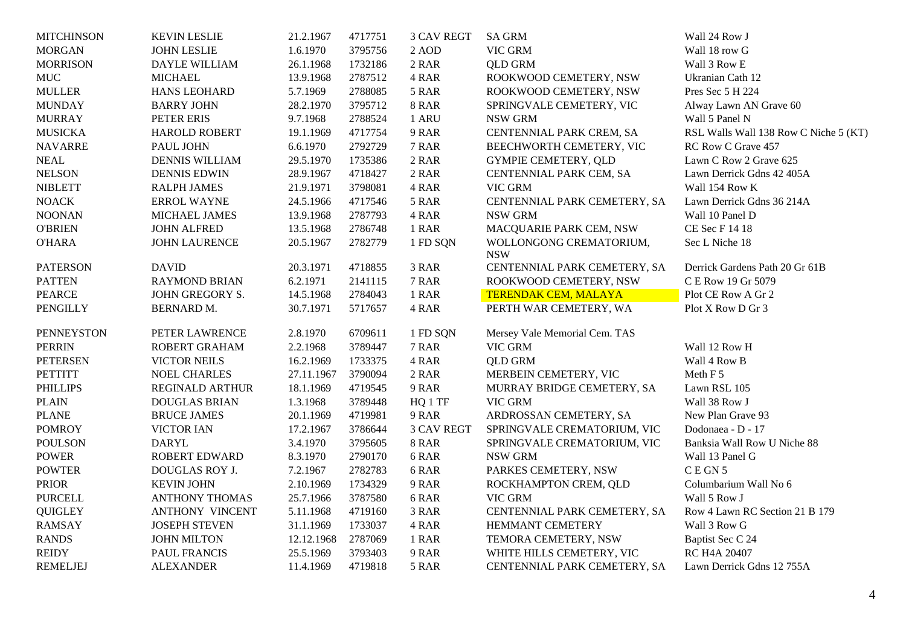| <b>MITCHINSON</b> | <b>KEVIN LESLIE</b>    | 21.2.1967  | 4717751 | <b>3 CAV REGT</b> | <b>SA GRM</b>                         | Wall 24 Row J                         |
|-------------------|------------------------|------------|---------|-------------------|---------------------------------------|---------------------------------------|
| <b>MORGAN</b>     | <b>JOHN LESLIE</b>     | 1.6.1970   | 3795756 | 2 AOD             | VIC GRM                               | Wall 18 row G                         |
| <b>MORRISON</b>   | DAYLE WILLIAM          | 26.1.1968  | 1732186 | 2 RAR             | <b>QLD GRM</b>                        | Wall 3 Row E                          |
| <b>MUC</b>        | <b>MICHAEL</b>         | 13.9.1968  | 2787512 | 4 RAR             | ROOKWOOD CEMETERY, NSW                | Ukranian Cath 12                      |
| <b>MULLER</b>     | <b>HANS LEOHARD</b>    | 5.7.1969   | 2788085 | 5 RAR             | ROOKWOOD CEMETERY, NSW                | Pres Sec 5 H 224                      |
| <b>MUNDAY</b>     | <b>BARRY JOHN</b>      | 28.2.1970  | 3795712 | <b>8 RAR</b>      | SPRINGVALE CEMETERY, VIC              | Alway Lawn AN Grave 60                |
| <b>MURRAY</b>     | PETER ERIS             | 9.7.1968   | 2788524 | 1 ARU             | NSW GRM                               | Wall 5 Panel N                        |
| <b>MUSICKA</b>    | <b>HAROLD ROBERT</b>   | 19.1.1969  | 4717754 | 9 RAR             | CENTENNIAL PARK CREM, SA              | RSL Walls Wall 138 Row C Niche 5 (KT) |
| <b>NAVARRE</b>    | PAUL JOHN              | 6.6.1970   | 2792729 | 7 RAR             | BEECHWORTH CEMETERY, VIC              | RC Row C Grave 457                    |
| <b>NEAL</b>       | <b>DENNIS WILLIAM</b>  | 29.5.1970  | 1735386 | 2 RAR             | <b>GYMPIE CEMETERY, QLD</b>           | Lawn C Row 2 Grave 625                |
| <b>NELSON</b>     | <b>DENNIS EDWIN</b>    | 28.9.1967  | 4718427 | 2 RAR             | CENTENNIAL PARK CEM, SA               | Lawn Derrick Gdns 42 405A             |
| <b>NIBLETT</b>    | <b>RALPH JAMES</b>     | 21.9.1971  | 3798081 | 4 RAR             | VIC GRM                               | Wall 154 Row K                        |
| <b>NOACK</b>      | <b>ERROL WAYNE</b>     | 24.5.1966  | 4717546 | 5 RAR             | CENTENNIAL PARK CEMETERY, SA          | Lawn Derrick Gdns 36 214A             |
| <b>NOONAN</b>     | MICHAEL JAMES          | 13.9.1968  | 2787793 | 4 RAR             | NSW GRM                               | Wall 10 Panel D                       |
| <b>O'BRIEN</b>    | <b>JOHN ALFRED</b>     | 13.5.1968  | 2786748 | 1 RAR             | MACQUARIE PARK CEM, NSW               | CE Sec F 14 18                        |
| <b>O'HARA</b>     | <b>JOHN LAURENCE</b>   | 20.5.1967  | 2782779 | 1 FD SQN          | WOLLONGONG CREMATORIUM,<br><b>NSW</b> | Sec L Niche 18                        |
| <b>PATERSON</b>   | <b>DAVID</b>           | 20.3.1971  | 4718855 | 3 RAR             | CENTENNIAL PARK CEMETERY, SA          | Derrick Gardens Path 20 Gr 61B        |
| <b>PATTEN</b>     | <b>RAYMOND BRIAN</b>   | 6.2.1971   | 2141115 | 7 RAR             | ROOKWOOD CEMETERY, NSW                | C E Row 19 Gr 5079                    |
| <b>PEARCE</b>     | <b>JOHN GREGORY S.</b> | 14.5.1968  | 2784043 | 1 RAR             | <b>TERENDAK CEM, MALAYA</b>           | Plot CE Row A Gr 2                    |
| <b>PENGILLY</b>   | <b>BERNARD M.</b>      | 30.7.1971  | 5717657 | 4 RAR             | PERTH WAR CEMETERY, WA                | Plot X Row D Gr 3                     |
| <b>PENNEYSTON</b> | PETER LAWRENCE         | 2.8.1970   | 6709611 | 1 FD SQN          | Mersey Vale Memorial Cem. TAS         |                                       |
| <b>PERRIN</b>     | ROBERT GRAHAM          | 2.2.1968   | 3789447 | 7 RAR             | VIC GRM                               | Wall 12 Row H                         |
| <b>PETERSEN</b>   | <b>VICTOR NEILS</b>    | 16.2.1969  | 1733375 | 4 RAR             | <b>QLD GRM</b>                        | Wall 4 Row B                          |
| <b>PETTITT</b>    | <b>NOEL CHARLES</b>    | 27.11.1967 | 3790094 | 2 RAR             | MERBEIN CEMETERY, VIC                 | Meth F 5                              |
| <b>PHILLIPS</b>   | <b>REGINALD ARTHUR</b> | 18.1.1969  | 4719545 | 9 RAR             | MURRAY BRIDGE CEMETERY, SA            | Lawn RSL 105                          |
| <b>PLAIN</b>      | <b>DOUGLAS BRIAN</b>   | 1.3.1968   | 3789448 | HQ 1 TF           | VIC GRM                               | Wall 38 Row J                         |
| <b>PLANE</b>      | <b>BRUCE JAMES</b>     | 20.1.1969  | 4719981 | 9 RAR             | ARDROSSAN CEMETERY, SA                | New Plan Grave 93                     |
| <b>POMROY</b>     | VICTOR IAN             | 17.2.1967  | 3786644 | <b>3 CAV REGT</b> | SPRINGVALE CREMATORIUM, VIC           | Dodonaea - D - 17                     |
| <b>POULSON</b>    | <b>DARYL</b>           | 3.4.1970   | 3795605 | <b>8 RAR</b>      | SPRINGVALE CREMATORIUM, VIC           | Banksia Wall Row U Niche 88           |
| <b>POWER</b>      | <b>ROBERT EDWARD</b>   | 8.3.1970   | 2790170 | 6 RAR             | NSW GRM                               | Wall 13 Panel G                       |
| <b>POWTER</b>     | DOUGLAS ROY J.         | 7.2.1967   | 2782783 | 6 RAR             | PARKES CEMETERY, NSW                  | CEGN <sub>5</sub>                     |
| <b>PRIOR</b>      | <b>KEVIN JOHN</b>      | 2.10.1969  | 1734329 | 9 RAR             | ROCKHAMPTON CREM, QLD                 | Columbarium Wall No 6                 |
| <b>PURCELL</b>    | <b>ANTHONY THOMAS</b>  | 25.7.1966  | 3787580 | 6 RAR             | VIC GRM                               | Wall 5 Row J                          |
| <b>QUIGLEY</b>    | <b>ANTHONY VINCENT</b> | 5.11.1968  | 4719160 | 3 RAR             | CENTENNIAL PARK CEMETERY, SA          | Row 4 Lawn RC Section 21 B 179        |
| <b>RAMSAY</b>     | <b>JOSEPH STEVEN</b>   | 31.1.1969  | 1733037 | 4 RAR             | HEMMANT CEMETERY                      | Wall 3 Row G                          |
| <b>RANDS</b>      | <b>JOHN MILTON</b>     | 12.12.1968 | 2787069 | 1 RAR             | TEMORA CEMETERY, NSW                  | Baptist Sec C 24                      |
| <b>REIDY</b>      | PAUL FRANCIS           | 25.5.1969  | 3793403 | 9 RAR             | WHITE HILLS CEMETERY, VIC             | RC H4A 20407                          |
| <b>REMELJEJ</b>   | <b>ALEXANDER</b>       | 11.4.1969  | 4719818 | 5 RAR             | CENTENNIAL PARK CEMETERY, SA          | Lawn Derrick Gdns 12 755A             |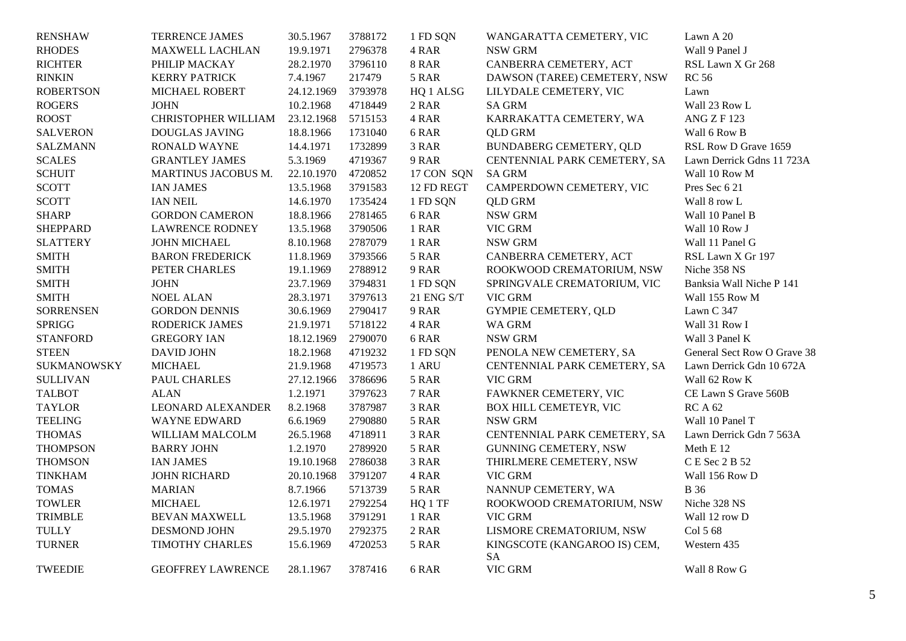| <b>RENSHAW</b>   | TERRENCE JAMES           | 30.5.1967  | 3788172 | 1 FD SQN     | WANGARATTA CEMETERY, VIC           | Lawn A 20                   |
|------------------|--------------------------|------------|---------|--------------|------------------------------------|-----------------------------|
| <b>RHODES</b>    | MAXWELL LACHLAN          | 19.9.1971  | 2796378 | 4 RAR        | NSW GRM                            | Wall 9 Panel J              |
| <b>RICHTER</b>   | PHILIP MACKAY            | 28.2.1970  | 3796110 | <b>8 RAR</b> | CANBERRA CEMETERY, ACT             | RSL Lawn X Gr 268           |
| <b>RINKIN</b>    | <b>KERRY PATRICK</b>     | 7.4.1967   | 217479  | 5 RAR        | DAWSON (TAREE) CEMETERY, NSW       | <b>RC 56</b>                |
| <b>ROBERTSON</b> | MICHAEL ROBERT           | 24.12.1969 | 3793978 | HQ 1 ALSG    | LILYDALE CEMETERY, VIC             | Lawn                        |
| <b>ROGERS</b>    | <b>JOHN</b>              | 10.2.1968  | 4718449 | 2 RAR        | <b>SA GRM</b>                      | Wall 23 Row L               |
| <b>ROOST</b>     | CHRISTOPHER WILLIAM      | 23.12.1968 | 5715153 | 4 RAR        | KARRAKATTA CEMETERY, WA            | <b>ANG Z F123</b>           |
| <b>SALVERON</b>  | <b>DOUGLAS JAVING</b>    | 18.8.1966  | 1731040 | 6 RAR        | <b>QLD GRM</b>                     | Wall 6 Row B                |
| <b>SALZMANN</b>  | <b>RONALD WAYNE</b>      | 14.4.1971  | 1732899 | 3 RAR        | <b>BUNDABERG CEMETERY, QLD</b>     | RSL Row D Grave 1659        |
| <b>SCALES</b>    | <b>GRANTLEY JAMES</b>    | 5.3.1969   | 4719367 | 9 RAR        | CENTENNIAL PARK CEMETERY, SA       | Lawn Derrick Gdns 11 723A   |
| <b>SCHUIT</b>    | MARTINUS JACOBUS M.      | 22.10.1970 | 4720852 | 17 CON SQN   | <b>SA GRM</b>                      | Wall 10 Row M               |
| <b>SCOTT</b>     | <b>IAN JAMES</b>         | 13.5.1968  | 3791583 | 12 FD REGT   | CAMPERDOWN CEMETERY, VIC           | Pres Sec 6 21               |
| <b>SCOTT</b>     | <b>IAN NEIL</b>          | 14.6.1970  | 1735424 | 1 FD SQN     | <b>QLD GRM</b>                     | Wall 8 row L                |
| <b>SHARP</b>     | <b>GORDON CAMERON</b>    | 18.8.1966  | 2781465 | 6 RAR        | NSW GRM                            | Wall 10 Panel B             |
| <b>SHEPPARD</b>  | <b>LAWRENCE RODNEY</b>   | 13.5.1968  | 3790506 | 1 RAR        | VIC GRM                            | Wall 10 Row J               |
| <b>SLATTERY</b>  | JOHN MICHAEL             | 8.10.1968  | 2787079 | 1 RAR        | <b>NSW GRM</b>                     | Wall 11 Panel G             |
| <b>SMITH</b>     | <b>BARON FREDERICK</b>   | 11.8.1969  | 3793566 | 5 RAR        | CANBERRA CEMETERY, ACT             | RSL Lawn X Gr 197           |
| <b>SMITH</b>     | PETER CHARLES            | 19.1.1969  | 2788912 | 9 RAR        | ROOKWOOD CREMATORIUM, NSW          | Niche 358 NS                |
| <b>SMITH</b>     | <b>JOHN</b>              | 23.7.1969  | 3794831 | 1 FD SQN     | SPRINGVALE CREMATORIUM, VIC        | Banksia Wall Niche P 141    |
| <b>SMITH</b>     | <b>NOEL ALAN</b>         | 28.3.1971  | 3797613 | 21 ENG S/T   | VIC GRM                            | Wall 155 Row M              |
| <b>SORRENSEN</b> | <b>GORDON DENNIS</b>     | 30.6.1969  | 2790417 | 9 RAR        | <b>GYMPIE CEMETERY, QLD</b>        | Lawn C 347                  |
| <b>SPRIGG</b>    | <b>RODERICK JAMES</b>    | 21.9.1971  | 5718122 | 4 RAR        | <b>WA GRM</b>                      | Wall 31 Row I               |
| <b>STANFORD</b>  | <b>GREGORY IAN</b>       | 18.12.1969 | 2790070 | 6 RAR        | NSW GRM                            | Wall 3 Panel K              |
| <b>STEEN</b>     | <b>DAVID JOHN</b>        | 18.2.1968  | 4719232 | 1 FD SQN     | PENOLA NEW CEMETERY, SA            | General Sect Row O Grave 38 |
| SUKMANOWSKY      | <b>MICHAEL</b>           | 21.9.1968  | 4719573 | 1 ARU        | CENTENNIAL PARK CEMETERY, SA       | Lawn Derrick Gdn 10 672A    |
| <b>SULLIVAN</b>  | PAUL CHARLES             | 27.12.1966 | 3786696 | 5 RAR        | VIC GRM                            | Wall 62 Row K               |
| <b>TALBOT</b>    | <b>ALAN</b>              | 1.2.1971   | 3797623 | 7 RAR        | FAWKNER CEMETERY, VIC              | CE Lawn S Grave 560B        |
| <b>TAYLOR</b>    | <b>LEONARD ALEXANDER</b> | 8.2.1968   | 3787987 | 3 RAR        | BOX HILL CEMETEYR, VIC             | <b>RCA 62</b>               |
| <b>TEELING</b>   | <b>WAYNE EDWARD</b>      | 6.6.1969   | 2790880 | 5 RAR        | NSW GRM                            | Wall 10 Panel T             |
| <b>THOMAS</b>    | WILLIAM MALCOLM          | 26.5.1968  | 4718911 | 3 RAR        | CENTENNIAL PARK CEMETERY, SA       | Lawn Derrick Gdn 7 563A     |
| <b>THOMPSON</b>  | <b>BARRY JOHN</b>        | 1.2.1970   | 2789920 | 5 RAR        | <b>GUNNING CEMETERY, NSW</b>       | Meth E 12                   |
| <b>THOMSON</b>   | <b>IAN JAMES</b>         | 19.10.1968 | 2786038 | 3 RAR        | THIRLMERE CEMETERY, NSW            | C E Sec 2 B 52              |
| <b>TINKHAM</b>   | <b>JOHN RICHARD</b>      | 20.10.1968 | 3791207 | 4 RAR        | VIC GRM                            | Wall 156 Row D              |
| <b>TOMAS</b>     | <b>MARIAN</b>            | 8.7.1966   | 5713739 | 5 RAR        | NANNUP CEMETERY, WA                | <b>B</b> 36                 |
| <b>TOWLER</b>    | <b>MICHAEL</b>           | 12.6.1971  | 2792254 | HQ 1 TF      | ROOKWOOD CREMATORIUM, NSW          | Niche 328 NS                |
| <b>TRIMBLE</b>   | <b>BEVAN MAXWELL</b>     | 13.5.1968  | 3791291 | 1 RAR        | VIC GRM                            | Wall 12 row D               |
| <b>TULLY</b>     | <b>DESMOND JOHN</b>      | 29.5.1970  | 2792375 | $2$ RAR $\,$ | LISMORE CREMATORIUM, NSW           | Col 5 68                    |
| <b>TURNER</b>    | TIMOTHY CHARLES          | 15.6.1969  | 4720253 | 5 RAR        | KINGSCOTE (KANGAROO IS) CEM,<br>SA | Western 435                 |
| <b>TWEEDIE</b>   | <b>GEOFFREY LAWRENCE</b> | 28.1.1967  | 3787416 | 6 RAR        | VIC GRM                            | Wall 8 Row G                |